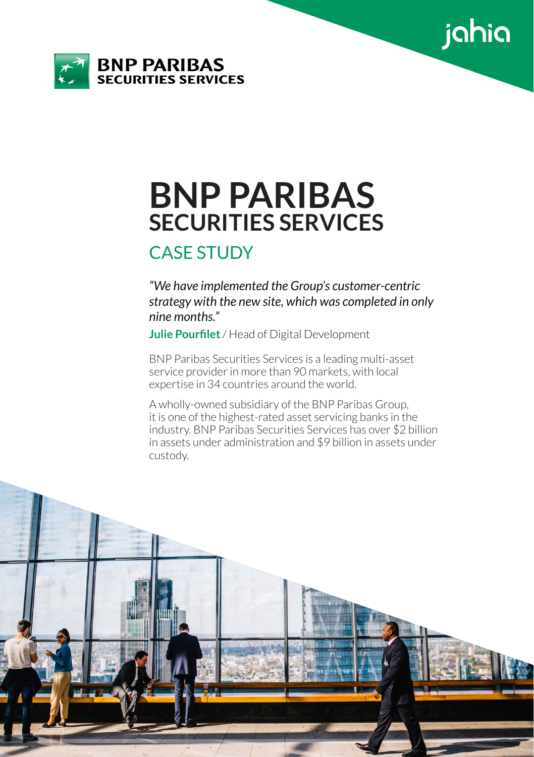



# **BNP PARIBAS SECURITIES SERVICES**

## CASE STUDY

*"We have implemented the Group's customer-centric strategy with the new site, which was completed in only nine months."*

**Julie Pourfilet** / Head of Digital Development

BNP Paribas Securities Services is a leading multi-asset service provider in more than 90 markets, with local expertise in 34 countries around the world.

A wholly-owned subsidiary of the BNP Paribas Group, it is one of the highest-rated asset servicing banks in the industry. BNP Paribas Securities Services has over \$2 billion in assets under administration and \$9 billion in assets under custody.

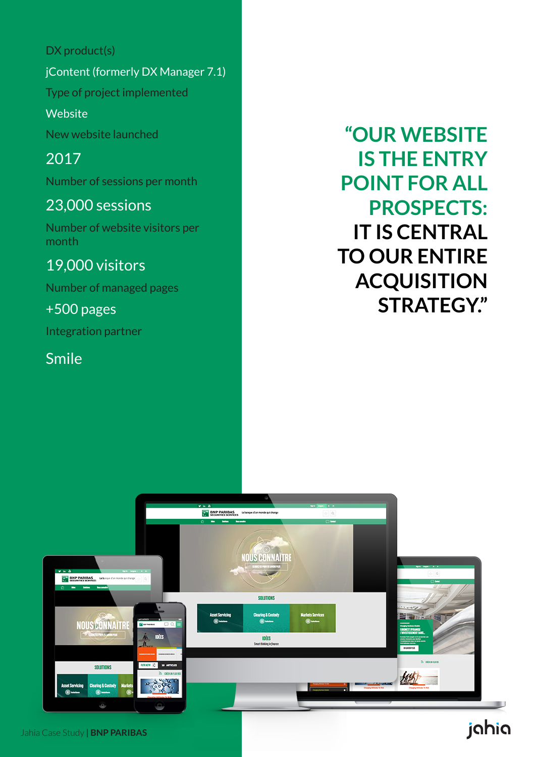DX product(s)

jContent (formerly DX Manager 7.1)

Type of project implemented

**Website** 

New website launched

2017 Number of sessions per month

### 23,000 sessions

Number of website visitors per month

### 19,000 visitors

Number of managed pages

+500 pages

Integration partner

Smile

**"OUR WEBSITE IS THE ENTRY POINT FOR ALL PROSPECTS: IT IS CENTRAL TO OUR ENTIRE ACQUISITION STRATEGY."** 

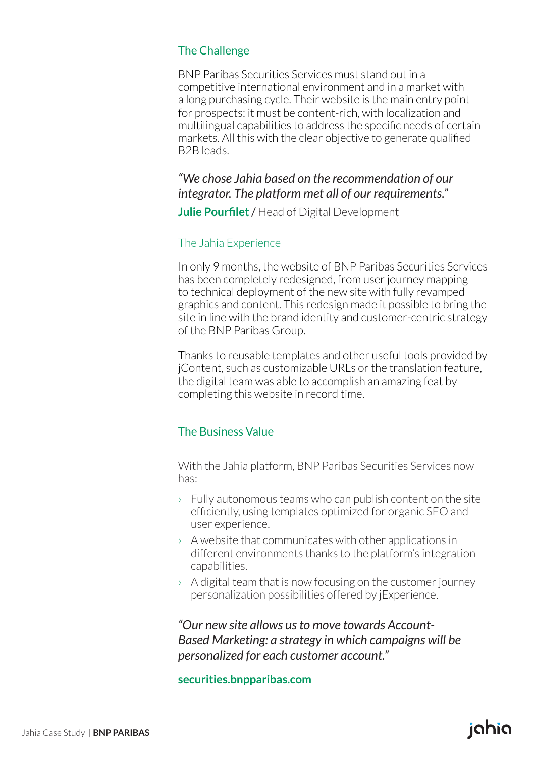#### The Challenge

BNP Paribas Securities Services must stand out in a competitive international environment and in a market with a long purchasing cycle. Their website is the main entry point for prospects: it must be content-rich, with localization and multilingual capabilities to address the specific needs of certain markets. All this with the clear objective to generate qualified B2B leads.

#### *"We chose Jahia based on the recommendation of our integrator. The platform met all of our requirements."*

**Julie Pourfilet** / Head of Digital Development

#### The Jahia Experience

In only 9 months, the website of BNP Paribas Securities Services has been completely redesigned, from user journey mapping to technical deployment of the new site with fully revamped graphics and content. This redesign made it possible to bring the site in line with the brand identity and customer-centric strategy of the BNP Paribas Group.

Thanks to reusable templates and other useful tools provided by jContent, such as customizable URLs or the translation feature, the digital team was able to accomplish an amazing feat by completing this website in record time.

#### The Business Value

With the Jahia platform, BNP Paribas Securities Services now has:

- $\rightarrow$  Fully autonomous teams who can publish content on the site efficiently, using templates optimized for organic SEO and user experience.
- $\rightarrow$  A website that communicates with other applications in different environments thanks to the platform's integration capabilities.
- $\rightarrow$  A digital team that is now focusing on the customer journey personalization possibilities offered by jExperience.

*"Our new site allows us to move towards Account-Based Marketing: a strategy in which campaigns will be personalized for each customer account."*

#### **securities.bnpparibas.com**

# ighig